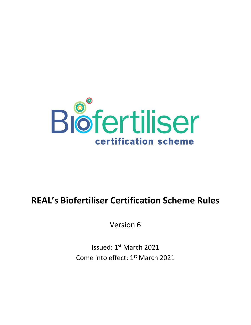

# **REAL's Biofertiliser Certification Scheme Rules**

Version 6

Issued: 1st March 2021 Come into effect: 1<sup>st</sup> March 2021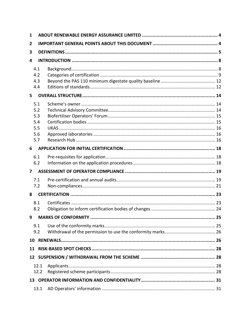| 1              |                                               |  |  |
|----------------|-----------------------------------------------|--|--|
| 2              |                                               |  |  |
| 3              |                                               |  |  |
| 4              |                                               |  |  |
|                | 4.1<br>4.2<br>4.3<br>4.4                      |  |  |
| 5              |                                               |  |  |
|                | 5.1<br>5.2<br>5.3<br>5.4<br>5.5<br>5.6<br>5.7 |  |  |
| 6              |                                               |  |  |
|                | 6.1<br>6.2                                    |  |  |
| $\overline{ }$ |                                               |  |  |
|                | 7.1<br>7.2                                    |  |  |
| 8              |                                               |  |  |
|                | 8.1<br>8.2                                    |  |  |
| 9              |                                               |  |  |
|                | 9.1<br>9.2                                    |  |  |
|                | 10                                            |  |  |
| 11             |                                               |  |  |
|                | 12                                            |  |  |
|                | 12.1<br>12.2                                  |  |  |
|                |                                               |  |  |
|                | 13.1                                          |  |  |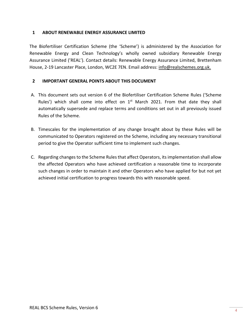## <span id="page-3-0"></span>**1 ABOUT RENEWABLE ENERGY ASSURANCE LIMITED**

The Biofertiliser Certification Scheme (the 'Scheme') is administered by the Association for Renewable Energy and Clean Technology's wholly owned subsidiary Renewable Energy Assurance Limited ('REAL'). Contact details: Renewable Energy Assurance Limited, Brettenham House, 2-19 Lancaster Place, London, WC2E 7EN. Email address: [info@realschemes.org.uk.](mailto:info@realschemes.org.uk)

# <span id="page-3-1"></span>**2 IMPORTANT GENERAL POINTS ABOUT THIS DOCUMENT**

- A. This document sets out version 6 of the Biofertiliser Certification Scheme Rules ('Scheme Rules') which shall come into effect on  $1<sup>st</sup>$  March 2021. From that date they shall automatically supersede and replace terms and conditions set out in all previously issued Rules of the Scheme.
- B. Timescales for the implementation of any change brought about by these Rules will be communicated to Operators registered on the Scheme, including any necessary transitional period to give the Operator sufficient time to implement such changes.
- C. Regarding changes to the Scheme Rules that affect Operators, its implementation shall allow the affected Operators who have achieved certification a reasonable time to incorporate such changes in order to maintain it and other Operators who have applied for but not yet achieved initial certification to progress towards this with reasonable speed.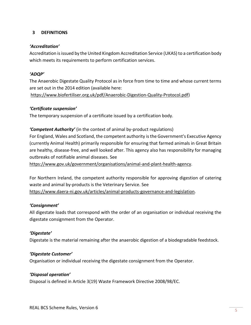# <span id="page-4-0"></span>**3 DEFINITIONS**

## *'Accreditation'*

Accreditation is issued by the United Kingdom Accreditation Service (UKAS) to a certification body which meets its requirements to perform certification services.

## *'ADQP'*

The Anaerobic Digestate Quality Protocol as in force from time to time and whose current terms are set out in the 2014 edition (available here:

[https://www.biofertiliser.org.uk/pdf/Anaerobic-Digestion-Quality-Protocol.pdf\)](https://www.biofertiliser.org.uk/pdf/Anaerobic-Digestion-Quality-Protocol.pdf)

## *'Certificate suspension'*

The temporary suspension of a certificate issued by a certification body.

# *'Competent Authority'* (in the context of animal by-product regulations)

For England, Wales and Scotland, the competent authority is the Government's Executive Agency (currently Animal Health) primarily responsible for ensuring that farmed animals in Great Britain are healthy, disease-free, and well looked after. This agency also has responsibility for managing outbreaks of notifiable animal diseases. See

[https://www.gov.uk/government/organisations/animal-and-plant-health-agency.](https://www.gov.uk/government/organisations/animal-and-plant-health-agency)

For Northern Ireland, the competent authority responsible for approving digestion of catering waste and animal by-products is the Veterinary Service. See [https://www.daera-ni.gov.uk/articles/animal-products-governance-and-legislation.](https://www.daera-ni.gov.uk/articles/animal-products-governance-and-legislation)

# *'Consignment'*

All digestate loads that correspond with the order of an organisation or individual receiving the digestate consignment from the Operator.

# *'Digestate'*

Digestate is the material remaining after the anaerobic digestion of a biodegradable feedstock.

#### *'Digestate Customer'*

Organisation or individual receiving the digestate consignment from the Operator.

#### *'Disposal operation'*

Disposal is defined in Article 3(19) Waste Framework Directive 2008/98/EC.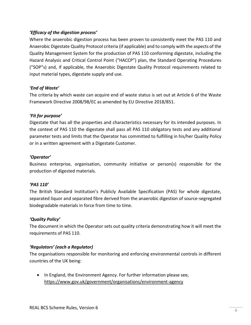# *'Efficacy of the digestion process'*

Where the anaerobic digestion process has been proven to consistently meet the PAS 110 and Anaerobic Digestate Quality Protocol criteria (if applicable) and to comply with the aspects of the Quality Management System for the production of PAS 110 conforming digestate, including the Hazard Analysis and Critical Control Point ("HACCP") plan, the Standard Operating Procedures ("SOP"s) and, if applicable, the Anaerobic Digestate Quality Protocol requirements related to input material types, digestate supply and use.

# *'End of Waste'*

The criteria by which waste can acquire end of waste status is set out at Article 6 of the Waste Framework Directive 2008/98/EC as amended by EU Directive 2018/851.

# *'Fit for purpose'*

Digestate that has all the properties and characteristics necessary for its intended purposes. In the context of PAS 110 the digestate shall pass all PAS 110 obligatory tests and any additional parameter tests and limits that the Operator has committed to fulfilling in his/her Quality Policy or in a written agreement with a Digestate Customer.

# *'Operator'*

Business enterprise, organisation, community initiative or person(s) responsible for the production of digested materials.

# *'PAS 110'*

The British Standard Institution's Publicly Available Specification (PAS) for whole digestate, separated liquor and separated fibre derived from the anaerobic digestion of source-segregated biodegradable materials in force from time to time.

# *'Quality Policy'*

The document in which the Operator sets out quality criteria demonstrating how it will meet the requirements of PAS 110.

# *'Regulators' (each a Regulator)*

The organisations responsible for monitoring and enforcing environmental controls in different countries of the UK being:

• In England, the Environment Agency. For further information please see, <https://www.gov.uk/government/organisations/environment-agency>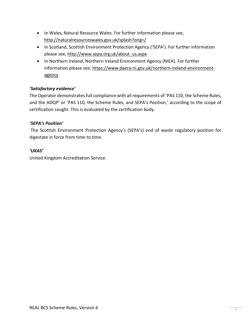- In Wales, Natural Resource Wales. For further information please see, <http://naturalresourceswales.gov.uk/splash?orig=/>
- In Scotland, Scottish Environment Protection Agency ('SEPA'). For further information please see, [http://www.sepa.org.uk/about\\_us.aspx](http://www.sepa.org.uk/about_us.aspx)
- In Northern Ireland, Northern Ireland Environment Agency (NIEA). For further information please see, [https://www.daera-ni.gov.uk/northern-ireland-environment](https://www.daera-ni.gov.uk/northern-ireland-environment-agency)[agency](https://www.daera-ni.gov.uk/northern-ireland-environment-agency)

# *'Satisfactory evidence'*

The Operator demonstrates full compliance with all requirements of 'PAS 110, the Scheme Rules, and the ADQP' or 'PAS 110, the Scheme Rules, and SEPA's Position,' according to the scope of certification sought. This is evaluated by the certification body.

# *'SEPA's Position'*

The Scottish Environment Protection Agency's (SEPA's) end of waste regulatory position for digestate in force from time to time.

# *'UKAS'*

United Kingdom Accreditation Service.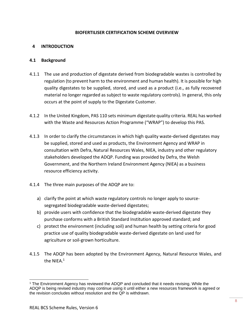#### **BIOFERTILISER CERTIFICATION SCHEME OVERVIEW**

## <span id="page-7-0"></span>**4 INTRODUCTION**

#### <span id="page-7-1"></span>**4.1 Background**

- 4.1.1 The use and production of digestate derived from biodegradable wastes is controlled by regulation (to prevent harm to the environment and human health). It is possible for high quality digestates to be supplied, stored, and used as a product (i.e., as fully recovered material no longer regarded as subject to waste regulatory controls). In general, this only occurs at the point of supply to the Digestate Customer.
- 4.1.2 In the United Kingdom, PAS 110 sets minimum digestate quality criteria. REAL has worked with the Waste and Resources Action Programme ("WRAP") to develop this PAS.
- 4.1.3 In order to clarify the circumstances in which high quality waste-derived digestates may be supplied, stored and used as products, the Environment Agency and WRAP in consultation with Defra, Natural Resources Wales, NIEA, industry and other regulatory stakeholders developed the ADQP. Funding was provided by Defra, the Welsh Government, and the Northern Ireland Environment Agency (NIEA) as a business resource efficiency activity.
- 4.1.4 The three main purposes of the ADQP are to:
	- a) clarify the point at which waste regulatory controls no longer apply to sourcesegregated biodegradable waste-derived digestates;
	- b) provide users with confidence that the biodegradable waste-derived digestate they purchase conforms with a British Standard Institution approved standard; and
	- c) protect the environment (including soil) and human health by setting criteria for good practice use of quality biodegradable waste-derived digestate on land used for agriculture or soil-grown horticulture.
- 4.1.5 The ADQP has been adopted by the Environment Agency, Natural Resource Wales, and the NIEA.<sup>1</sup>

<sup>1</sup> The Environment Agency has reviewed the ADQP and concluded that it needs revising. While the ADQP is being revised industry may continue using it until either a new resources framework is agreed or the revision concludes without resolution and the QP is withdrawn.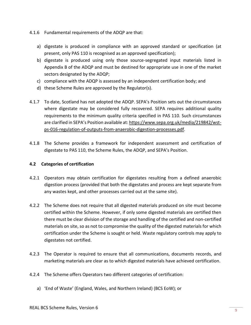- 4.1.6 Fundamental requirements of the ADQP are that:
	- a) digestate is produced in compliance with an approved standard or specification (at present, only PAS 110 is recognised as an approved specification);
	- b) digestate is produced using only those source-segregated input materials listed in Appendix B of the ADQP and must be destined for appropriate use in one of the market sectors designated by the ADQP;
	- c) compliance with the ADQP is assessed by an independent certification body; and
	- d) these Scheme Rules are approved by the Regulator(s).
- 4.1.7 To date, Scotland has not adopted the ADQP. SEPA's Position sets out the circumstances where digestate may be considered fully recovered. SEPA requires additional quality requirements to the minimum quality criteria specified in PAS 110. Such circumstances are clarified in SEPA's Position available at: [https://www.sepa.org.uk/media/219842/wst](https://www.sepa.org.uk/media/219842/wst-ps-016-regulation-of-outputs-from-anaerobic-digestion-processes.pdf)[ps-016-regulation-of-outputs-from-anaerobic-digestion-processes.pdf.](https://www.sepa.org.uk/media/219842/wst-ps-016-regulation-of-outputs-from-anaerobic-digestion-processes.pdf)
- 4.1.8 The Scheme provides a framework for independent assessment and certification of digestate to PAS 110, the Scheme Rules, the ADQP, and SEPA's Position.

# <span id="page-8-0"></span>**4.2 Categories of certification**

- 4.2.1 Operators may obtain certification for digestates resulting from a defined anaerobic digestion process (provided that both the digestates and process are kept separate from any wastes kept, and other processes carried out at the same site).
- 4.2.2 The Scheme does not require that all digested materials produced on site must become certified within the Scheme. However, if only some digested materials are certified then there must be clear division of the storage and handling of the certified and non-certified materials on site, so as not to compromise the quality of the digested materials for which certification under the Scheme is sought or held. Waste regulatory controls may apply to digestates not certified.
- 4.2.3 The Operator is required to ensure that all communications, documents records, and marketing materials are clear as to which digested materials have achieved certification.
- 4.2.4 The Scheme offers Operators two different categories of certification:
	- a) 'End of Waste' (England, Wales, and Northern Ireland) (BCS EoW); or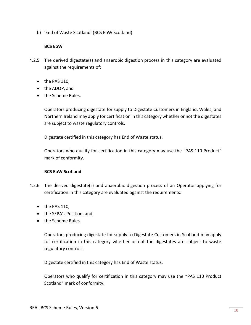b) 'End of Waste Scotland' (BCS EoW Scotland).

## **BCS EoW**

- 4.2.5 The derived digestate(s) and anaerobic digestion process in this category are evaluated against the requirements of:
	- the PAS 110,
	- the ADQP, and
	- the Scheme Rules.

Operators producing digestate for supply to Digestate Customers in England, Wales, and Northern Ireland may apply for certification in this category whether or not the digestates are subject to waste regulatory controls.

Digestate certified in this category has End of Waste status.

Operators who qualify for certification in this category may use the "PAS 110 Product" mark of conformity.

#### **BCS EoW Scotland**

- 4.2.6 The derived digestate(s) and anaerobic digestion process of an Operator applying for certification in this category are evaluated against the requirements:
	- the PAS 110,
	- the SEPA's Position, and
	- the Scheme Rules.

Operators producing digestate for supply to Digestate Customers in Scotland may apply for certification in this category whether or not the digestates are subject to waste regulatory controls.

Digestate certified in this category has End of Waste status.

Operators who qualify for certification in this category may use the "PAS 110 Product Scotland" mark of conformity.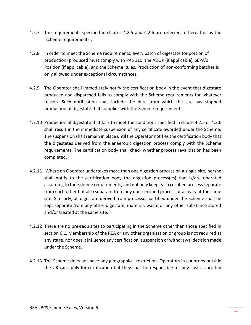- 4.2.7 The requirements specified in clauses 4.2.5 and 4.2.6 are referred to hereafter as the 'Scheme requirements'.
- 4.2.8 In order to meet the Scheme requirements, every batch of digestate (or portion of production) produced must comply with PAS 110, the ADQP (if applicable), SEPA's Position (if applicable), and the Scheme Rules. Production of non-conforming batches is only allowed under exceptional circumstances.
- 4.2.9 The Operator shall immediately notify the certification body in the event that digestate produced and dispatched fails to comply with the Scheme requirements for whatever reason. Such notification shall include the date from which the site has stopped production of digestate that complies with the Scheme requirements.
- 4.2.10 Production of digestate that fails to meet the conditions specified in clause 4.2.5 or 4.2.6 shall result in the immediate suspension of any certificate awarded under the Scheme. The suspension shall remain in place until the Operator notifies the certification body that the digestates derived from the anaerobic digestion process comply with the Scheme requirements. The certification body shall check whether process revalidation has been completed.
- 4.2.11 Where an Operator undertakes more than one digestion process on a single site, he/she shall notify to the certification body the digestion process(es) that is/are operated according to the Scheme requirements, and not only keep each certified process separate from each other but also separate from any non-certified process or activity at the same site. Similarly, all digestate derived from processes certified under the Scheme shall be kept separate from any other digestate, material, waste or any other substance stored and/or treated at the same site.
- 4.2.12 There are no pre-requisites to participating in the Scheme other than those specified in section 6.1. Membership of the REA or any other organisation or group is not required at any stage, nor does it influence any certification, suspension or withdrawal decision made under the Scheme.
- 4.2.13 The Scheme does not have any geographical restriction. Operators in countries outside the UK can apply for certification but they shall be responsible for any cost associated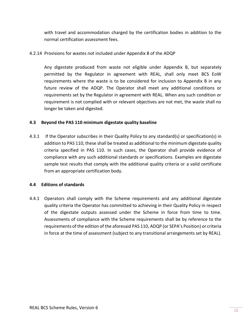with travel and accommodation charged by the certification bodies in addition to the normal certification assessment fees.

## 4.2.14 Provisions for wastes not included under Appendix B of the ADQP

Any digestate produced from waste not eligible under Appendix B, but separately permitted by the Regulator in agreement with REAL, shall only meet BCS EoW requirements where the waste is to be considered for inclusion to Appendix B in any future review of the ADQP. The Operator shall meet any additional conditions or requirements set by the Regulator in agreement with REAL. When any such condition or requirement is not complied with or relevant objectives are not met, the waste shall no longer be taken and digested.

#### <span id="page-11-0"></span>**4.3 Beyond the PAS 110 minimum digestate quality baseline**

4.3.1 If the Operator subscribes in their Quality Policy to any standard(s) or specification(s) in addition to PAS 110, these shall be treated as additional to the minimum digestate quality criteria specified in PAS 110. In such cases, the Operator shall provide evidence of compliance with any such additional standards or specifications. Examples are digestate sample test results that comply with the additional quality criteria or a valid certificate from an appropriate certification body.

#### <span id="page-11-1"></span>**4.4 Editions of standards**

4.4.1 Operators shall comply with the Scheme requirements and any additional digestate quality criteria the Operator has committed to achieving in their Quality Policy in respect of the digestate outputs assessed under the Scheme in force from time to time. Assessments of compliance with the Scheme requirements shall be by reference to the requirements of the edition of the aforesaid PAS 110, ADQP (or SEPA's Position) or criteria in force at the time of assessment (subject to any transitional arrangements set by REAL).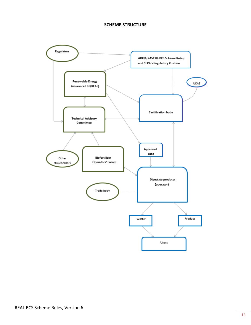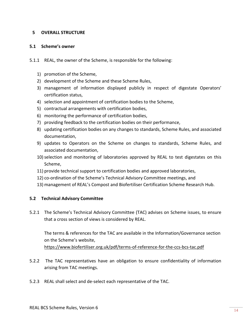## <span id="page-13-0"></span>**5 OVERALL STRUCTURE**

#### <span id="page-13-1"></span>**5.1 Scheme's owner**

- 5.1.1 REAL, the owner of the Scheme, is responsible for the following:
	- 1) promotion of the Scheme,
	- 2) development of the Scheme and these Scheme Rules,
	- 3) management of information displayed publicly in respect of digestate Operators' certification status,
	- 4) selection and appointment of certification bodies to the Scheme,
	- 5) contractual arrangements with certification bodies,
	- 6) monitoring the performance of certification bodies,
	- 7) providing feedback to the certification bodies on their performance,
	- 8) updating certification bodies on any changes to standards, Scheme Rules, and associated documentation,
	- 9) updates to Operators on the Scheme on changes to standards, Scheme Rules, and associated documentation,
	- 10)selection and monitoring of laboratories approved by REAL to test digestates on this Scheme,
	- 11) provide technical support to certification bodies and approved laboratories,
	- 12) co-ordination of the Scheme's Technical Advisory Committee meetings, and
	- 13) management of REAL's Compost and Biofertiliser Certification Scheme Research Hub.

#### <span id="page-13-2"></span>**5.2 Technical Advisory Committee**

5.2.1 The Scheme's Technical Advisory Committee (TAC) advises on Scheme issues, to ensure that a cross section of views is considered by REAL.

The terms & references for the TAC are available in the Information/Governance section on the Scheme's website,

<https://www.biofertiliser.org.uk/pdf/terms-of-reference-for-the-ccs-bcs-tac.pdf>

- 5.2.2 The TAC representatives have an obligation to ensure confidentiality of information arising from TAC meetings.
- 5.2.3 REAL shall select and de-select each representative of the TAC.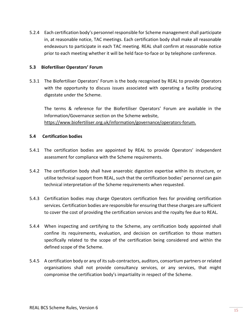5.2.4 Each certification body's personnel responsible for Scheme management shall participate in, at reasonable notice, TAC meetings. Each certification body shall make all reasonable endeavours to participate in each TAC meeting. REAL shall confirm at reasonable notice prior to each meeting whether it will be held face-to-face or by telephone conference.

## <span id="page-14-0"></span>**5.3 Biofertiliser Operators' Forum**

5.3.1 The Biofertiliser Operators' Forum is the body recognised by REAL to provide Operators with the opportunity to discuss issues associated with operating a facility producing digestate under the Scheme.

The terms & reference for the Biofertiliser Operators' Forum are available in the Information/Governance section on the Scheme website, [https://www.biofertiliser.org.uk/information/governance/operators-forum.](https://www.biofertiliser.org.uk/information/governance/operators-forum)

## <span id="page-14-1"></span>**5.4 Certification bodies**

- 5.4.1 The certification bodies are appointed by REAL to provide Operators' independent assessment for compliance with the Scheme requirements.
- 5.4.2 The certification body shall have anaerobic digestion expertise within its structure, or utilise technical support from REAL, such that the certification bodies' personnel can gain technical interpretation of the Scheme requirements when requested.
- 5.4.3 Certification bodies may charge Operators certification fees for providing certification services. Certification bodies are responsible for ensuring that these charges are sufficient to cover the cost of providing the certification services and the royalty fee due to REAL.
- 5.4.4 When inspecting and certifying to the Scheme, any certification body appointed shall confine its requirements, evaluation, and decision on certification to those matters specifically related to the scope of the certification being considered and within the defined scope of the Scheme.
- 5.4.5 A certification body or any of its sub-contractors, auditors, consortium partners or related organisations shall not provide consultancy services, or any services, that might compromise the certification body's impartiality in respect of the Scheme.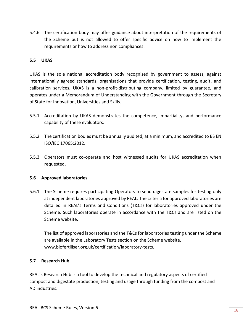5.4.6 The certification body may offer guidance about interpretation of the requirements of the Scheme but is not allowed to offer specific advice on how to implement the requirements or how to address non compliances.

## <span id="page-15-0"></span>**5.5 UKAS**

UKAS is the sole national accreditation body recognised by government to assess, against internationally agreed standards, organisations that provide certification, testing, audit, and calibration services. UKAS is a non-profit-distributing company, limited by guarantee, and operates under a Memorandum of Understanding with the Government through the Secretary of State for Innovation, Universities and Skills.

- 5.5.1 Accreditation by UKAS demonstrates the competence, impartiality, and performance capability of these evaluators.
- 5.5.2 The certification bodies must be annually audited, at a minimum, and accredited to BS EN ISO/IEC 17065:2012.
- 5.5.3 Operators must co-operate and host witnessed audits for UKAS accreditation when requested.

#### <span id="page-15-1"></span>**5.6 Approved laboratories**

5.6.1 The Scheme requires participating Operators to send digestate samples for testing only at independent laboratories approved by REAL. The criteria for approved laboratories are detailed in REAL's Terms and Conditions (T&Cs) for laboratories approved under the Scheme. Such laboratories operate in accordance with the T&Cs and are listed on the Scheme website.

The list of approved laboratories and the T&Cs for laboratories testing under the Scheme are available in the Laboratory Tests section on the Scheme website, [www.biofertiliser.org.uk/certification/laboratory-tests.](http://www.biofertiliser.org.uk/certification/laboratory-tests)

#### <span id="page-15-2"></span>**5.7 Research Hub**

REAL's Research Hub is a tool to develop the technical and regulatory aspects of certified compost and digestate production, testing and usage through funding from the compost and AD industries.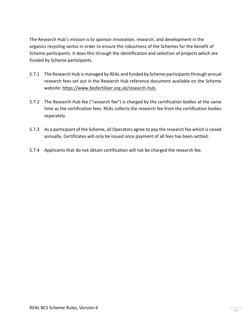The Research Hub's mission is to sponsor innovation, research, and development in the organics recycling sector in order to ensure the robustness of the Schemes for the benefit of Scheme participants. It does this through the identification and selection of projects which are funded by Scheme participants.

- 5.7.1 The Research Hub is managed by REAL and funded by Scheme participants through annual research fees set out in the Research Hub reference document available on the Scheme website: [https://www.biofertiliser.org.uk/research-hub.](https://www.biofertiliser.org.uk/research-hub)
- 5.7.2 The Research Hub fee ("research fee") is charged by the certification bodies at the same time as the certification fees. REAL collects the research fee from the certification bodies separately.
- 5.7.3 As a participant of the Scheme, all Operators agree to pay the research fee which is raised annually. Certificates will only be issued once payment of all fees has been settled.
- 5.7.4 Applicants that do not obtain certification will not be charged the research fee.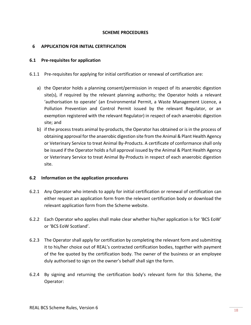#### **SCHEME PROCEDURES**

## <span id="page-17-0"></span>**6 APPLICATION FOR INITIAL CERTIFICATION**

#### <span id="page-17-1"></span>**6.1 Pre-requisites for application**

- 6.1.1 Pre-requisites for applying for initial certification or renewal of certification are:
	- a) the Operator holds a planning consent/permission in respect of its anaerobic digestion site(s), if required by the relevant planning authority; the Operator holds a relevant 'authorisation to operate' (an Environmental Permit, a Waste Management Licence, a Pollution Prevention and Control Permit issued by the relevant Regulator, or an exemption registered with the relevant Regulator) in respect of each anaerobic digestion site; and
	- b) if the process treats animal by-products, the Operator has obtained or is in the process of obtaining approval for the anaerobic digestion site from the Animal & Plant Health Agency or Veterinary Service to treat Animal By-Products. A certificate of conformance shall only be issued if the Operator holds a full approval issued by the Animal & Plant Health Agency or Veterinary Service to treat Animal By-Products in respect of each anaerobic digestion site.

#### <span id="page-17-2"></span>**6.2 Information on the application procedures**

- 6.2.1 Any Operator who intends to apply for initial certification or renewal of certification can either request an application form from the relevant certification body or download the relevant application form from the Scheme website.
- 6.2.2 Each Operator who applies shall make clear whether his/her application is for 'BCS EoW' or 'BCS EoW Scotland'.
- 6.2.3 The Operator shall apply for certification by completing the relevant form and submitting it to his/her choice out of REAL's contracted certification bodies, together with payment of the fee quoted by the certification body. The owner of the business or an employee duly authorised to sign on the owner's behalf shall sign the form.
- 6.2.4 By signing and returning the certification body's relevant form for this Scheme, the Operator: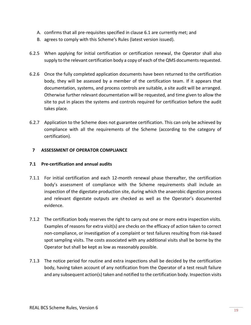- A. confirms that all pre-requisites specified in clause 6.1 are currently met; and
- B. agrees to comply with this Scheme's Rules (latest version issued).
- 6.2.5 When applying for initial certification or certification renewal, the Operator shall also supply to the relevant certification body a copy of each of the QMS documents requested.
- 6.2.6 Once the fully completed application documents have been returned to the certification body, they will be assessed by a member of the certification team. If it appears that documentation, systems, and process controls are suitable, a site audit will be arranged. Otherwise further relevant documentation will be requested, and time given to allow the site to put in places the systems and controls required for certification before the audit takes place.
- 6.2.7 Application to the Scheme does not guarantee certification. This can only be achieved by compliance with all the requirements of the Scheme (according to the category of certification).

# <span id="page-18-0"></span>**7 ASSESSMENT OF OPERATOR COMPLIANCE**

## <span id="page-18-1"></span>**7.1 Pre-certification and annual audits**

- 7.1.1 For initial certification and each 12-month renewal phase thereafter, the certification body's assessment of compliance with the Scheme requirements shall include an inspection of the digestate production site, during which the anaerobic digestion process and relevant digestate outputs are checked as well as the Operator's documented evidence.
- 7.1.2 The certification body reserves the right to carry out one or more extra inspection visits. Examples of reasons for extra visit(s) are checks on the efficacy of action taken to correct non-compliance, or investigation of a complaint or test failures resulting from risk-based spot sampling visits. The costs associated with any additional visits shall be borne by the Operator but shall be kept as low as reasonably possible.
- 7.1.3 The notice period for routine and extra inspections shall be decided by the certification body, having taken account of any notification from the Operator of a test result failure and any subsequent action(s) taken and notified to the certification body. Inspection visits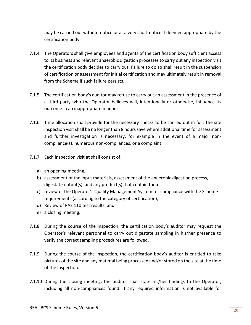may be carried out without notice or at a very short notice if deemed appropriate by the certification body.

- 7.1.4 The Operators shall give employees and agents of the certification body sufficient access to its business and relevant anaerobic digestion processes to carry out any inspection visit the certification body decides to carry out. Failure to do so shall result in the suspension of certification or assessment for initial certification and may ultimately result in removal from the Scheme if such failure persists.
- 7.1.5 The certification body's auditor may refuse to carry out an assessment in the presence of a third party who the Operator believes will, intentionally or otherwise, influence its outcome in an inappropriate manner.
- 7.1.6 Time allocation shall provide for the necessary checks to be carried out in full. The site inspection visit shall be no longer than 8 hours save where additional time for assessment and further investigation is necessary, for example in the event of a major noncompliance(s), numerous non-compliances, or a complaint.
- 7.1.7 Each inspection visit at shall consist of:
	- a) an opening meeting,
	- b) assessment of the input materials, assessment of the anaerobic digestion process, digestate output(s), and any product(s) that contain them,
	- c) review of the Operator's Quality Management System for compliance with the Scheme requirements (according to the category of certification),
	- d) Review of PAS 110 test results, and
	- e) a closing meeting.
- 7.1.8 During the course of the inspection, the certification body's auditor may request the Operator's relevant personnel to carry out digestate sampling in his/her presence to verify the correct sampling procedures are followed.
- 7.1.9 During the course of the inspection, the certification body's auditor is entitled to take pictures of the site and any material being processed and/or stored on the site at the time of the inspection.
- 7.1.10 During the closing meeting, the auditor shall state his/her findings to the Operator, including all non-compliances found. If any required information is not available for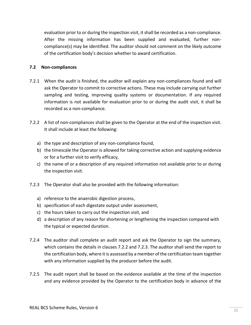evaluation prior to or during the inspection visit, it shall be recorded as a non-compliance. After the missing information has been supplied and evaluated, further noncompliance(s) may be identified. The auditor should not comment on the likely outcome of the certification body's decision whether to award certification.

## <span id="page-20-0"></span>**7.2 Non-compliances**

- 7.2.1 When the audit is finished, the auditor will explain any non-compliances found and will ask the Operator to commit to corrective actions. These may include carrying out further sampling and testing, improving quality systems or documentation. If any required information is not available for evaluation prior to or during the audit visit, it shall be recorded as a non-compliance.
- 7.2.2 A list of non-compliances shall be given to the Operator at the end of the inspection visit. It shall include at least the following:
	- a) the type and description of any non-compliance found,
	- b) the timescale the Operator is allowed for taking corrective action and supplying evidence or for a further visit to verify efficacy,
	- c) the name of or a description of any required information not available prior to or during the inspection visit.
- 7.2.3 The Operator shall also be provided with the following information:
	- a) reference to the anaerobic digestion process,
	- b) specification of each digestate output under assessment,
	- c) the hours taken to carry out the inspection visit, and
	- d) a description of any reason for shortening or lengthening the inspection compared with the typical or expected duration.
- 7.2.4 The auditor shall complete an audit report and ask the Operator to sign the summary, which contains the details in clauses 7.2.2 and 7.2.3. The auditor shall send the report to the certification body, where it is assessed by a member of the certification team together with any information supplied by the producer before the audit.
- 7.2.5 The audit report shall be based on the evidence available at the time of the inspection and any evidence provided by the Operator to the certification body in advance of the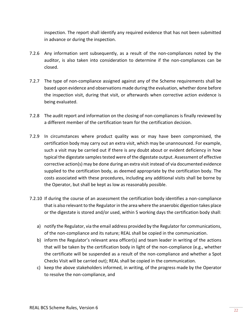inspection. The report shall identify any required evidence that has not been submitted in advance or during the inspection.

- 7.2.6 Any information sent subsequently, as a result of the non-compliances noted by the auditor, is also taken into consideration to determine if the non-compliances can be closed.
- 7.2.7 The type of non-compliance assigned against any of the Scheme requirements shall be based upon evidence and observations made during the evaluation, whether done before the inspection visit, during that visit, or afterwards when corrective action evidence is being evaluated.
- 7.2.8 The audit report and information on the closing of non-compliances is finally reviewed by a different member of the certification team for the certification decision.
- 7.2.9 In circumstances where product quality was or may have been compromised, the certification body may carry out an extra visit, which may be unannounced. For example, such a visit may be carried out if there is any doubt about or evident deficiency in how typical the digestate samples tested were of the digestate output. Assessment of effective corrective action(s) may be done during an extra visit instead of via documented evidence supplied to the certification body, as deemed appropriate by the certification body. The costs associated with these procedures, including any additional visits shall be borne by the Operator, but shall be kept as low as reasonably possible.
- 7.2.10 If during the course of an assessment the certification body identifies a non-compliance that is also relevant to the Regulator in the area where the anaerobic digestion takes place or the digestate is stored and/or used, within 5 working days the certification body shall:
	- a) notify the Regulator, via the email address provided by the Regulator for communications, of the non-compliance and its nature; REAL shall be copied in the communication.
	- b) inform the Regulator's relevant area officer(s) and team leader in writing of the actions that will be taken by the certification body in light of the non-compliance (e.g., whether the certificate will be suspended as a result of the non-compliance and whether a Spot Checks Visit will be carried out); REAL shall be copied in the communication.
	- c) keep the above stakeholders informed, in writing, of the progress made by the Operator to resolve the non-compliance, and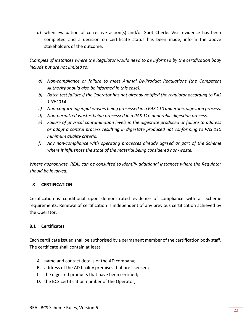d) when evaluation of corrective action(s) and/or Spot Checks Visit evidence has been completed and a decision on certificate status has been made, inform the above stakeholders of the outcome.

*Examples of instances where the Regulator would need to be informed by the certification body include but are not limited to:* 

- *a) Non-compliance or failure to meet Animal By-Product Regulations (the Competent Authority should also be informed in this case).*
- *b) Batch test failure if the Operator has not already notified the regulator according to PAS 110:2014.*
- *c) Non-conforming input wastes being processed in a PAS 110 anaerobic digestion process.*
- *d) Non-permitted wastes being processed in a PAS 110 anaerobic digestion process.*
- *e) Failure of physical contamination levels in the digestate produced or failure to address or adopt a control process resulting in digestate produced not conforming to PAS 110 minimum quality criteria.*
- *f) Any non-compliance with operating processes already agreed as part of the Scheme where it influences the state of the material being considered non-waste.*

*Where appropriate, REAL can be consulted to identify additional instances where the Regulator should be involved.*

# <span id="page-22-0"></span>**8 CERTIFICATION**

Certification is conditional upon demonstrated evidence of compliance with all Scheme requirements. Renewal of certification is independent of any previous certification achieved by the Operator.

# <span id="page-22-1"></span>**8.1 Certificates**

Each certificate issued shall be authorised by a permanent member of the certification body staff. The certificate shall contain at least:

- A. name and contact details of the AD company;
- B. address of the AD facility premises that are licensed;
- C. the digested products that have been certified;
- D. the BCS certification number of the Operator;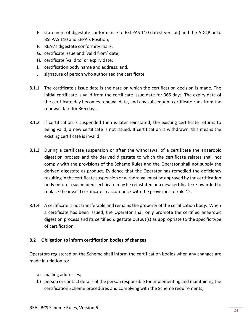- E. statement of digestate conformance to BSI PAS 110 (latest version) and the ADQP or to BSI PAS 110 and SEPA's Position;
- F. REAL's digestate conformity mark;
- G. certificate issue and 'valid from' date;
- H. certificate 'valid to' or expiry date;
- I. certification body name and address; and,
- J. signature of person who authorised the certificate.
- 8.1.1 The certificate's issue date is the date on which the certification decision is made. The initial certificate is valid from the certificate issue date for 365 days. The expiry date of the certificate day becomes renewal date, and any subsequent certificate runs from the renewal date for 365 days.
- 8.1.2 If certification is suspended then is later reinstated, the existing certificate returns to being valid; a new certificate is not issued. If certification is withdrawn, this means the existing certificate is invalid.
- 8.1.3 During a certificate suspension or after the withdrawal of a certificate the anaerobic digestion process and the derived digestate to which the certificate relates shall not comply with the provisions of the Scheme Rules and the Operator shall not supply the derived digestate as product. Evidence that the Operator has remedied the deficiency resulting in the certificate suspension or withdrawal must be approved by the certification body before a suspended certificate may be reinstated or a new certificate re-awarded to replace the invalid certificate in accordance with the provisions of rule 12.
- 8.1.4 A certificate is not transferable and remains the property of the certification body. When a certificate has been issued, the Operator shall only promote the certified anaerobic digestion process and its certified digestate output(s) as appropriate to the specific type of certification.

# <span id="page-23-0"></span>**8.2 Obligation to inform certification bodies of changes**

Operators registered on the Scheme shall inform the certification bodies when any changes are made in relation to:

- a) mailing addresses;
- b) person or contact details of the person responsible for implementing and maintaining the certification Scheme procedures and complying with the Scheme requirements;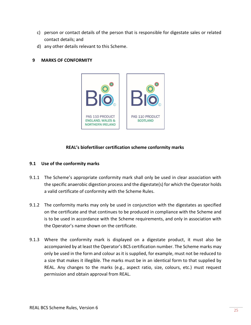- c) person or contact details of the person that is responsible for digestate sales or related contact details; and
- d) any other details relevant to this Scheme.

## <span id="page-24-0"></span>**9 MARKS OF CONFORMITY**



## **REAL's biofertiliser certification scheme conformity marks**

## <span id="page-24-1"></span>**9.1 Use of the conformity marks**

- 9.1.1 The Scheme's appropriate conformity mark shall only be used in clear association with the specific anaerobic digestion process and the digestate(s) for which the Operator holds a valid certificate of conformity with the Scheme Rules.
- 9.1.2 The conformity marks may only be used in conjunction with the digestates as specified on the certificate and that continues to be produced in compliance with the Scheme and is to be used in accordance with the Scheme requirements, and only in association with the Operator's name shown on the certificate.
- 9.1.3 Where the conformity mark is displayed on a digestate product, it must also be accompanied by at least the Operator's BCS certification number. The Scheme marks may only be used in the form and colour as it is supplied, for example, must not be reduced to a size that makes it illegible. The marks must be in an identical form to that supplied by REAL. Any changes to the marks (e.g., aspect ratio, size, colours, etc.) must request permission and obtain approval from REAL.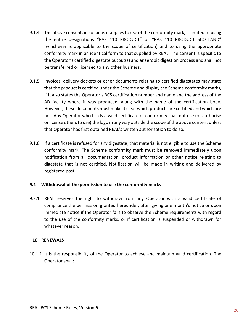- 9.1.4 The above consent, in so far as it applies to use of the conformity mark, is limited to using the entire designations "PAS 110 PRODUCT" or "PAS 110 PRODUCT SCOTLAND" (whichever is applicable to the scope of certification) and to using the appropriate conformity mark in an identical form to that supplied by REAL. The consent is specific to the Operator's certified digestate output(s) and anaerobic digestion process and shall not be transferred or licensed to any other business.
- 9.1.5 Invoices, delivery dockets or other documents relating to certified digestates may state that the product is certified under the Scheme and display the Scheme conformity marks, if it also states the Operator's BCS certification number and name and the address of the AD facility where it was produced, along with the name of the certification body. However, these documents must make it clear which products are certified and which are not. Any Operator who holds a valid certificate of conformity shall not use (or authorise or license others to use) the logo in any way outside the scope of the above consent unless that Operator has first obtained REAL's written authorisation to do so.
- 9.1.6 If a certificate is refused for any digestate, that material is not eligible to use the Scheme conformity mark. The Scheme conformity mark must be removed immediately upon notification from all documentation, product information or other notice relating to digestate that is not certified. Notification will be made in writing and delivered by registered post.

#### <span id="page-25-0"></span>**9.2 Withdrawal of the permission to use the conformity marks**

9.2.1 REAL reserves the right to withdraw from any Operator with a valid certificate of compliance the permission granted hereunder, after giving one month's notice or upon immediate notice if the Operator fails to observe the Scheme requirements with regard to the use of the conformity marks, or if certification is suspended or withdrawn for whatever reason.

#### <span id="page-25-1"></span>**10 RENEWALS**

10.1.1 It is the responsibility of the Operator to achieve and maintain valid certification. The Operator shall: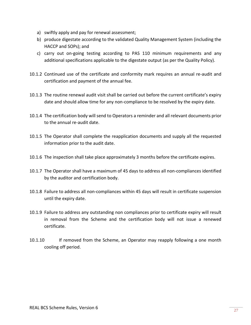- a) swiftly apply and pay for renewal assessment;
- b) produce digestate according to the validated Quality Management System (including the HACCP and SOPs); and
- c) carry out on-going testing according to PAS 110 minimum requirements and any additional specifications applicable to the digestate output (as per the Quality Policy).
- 10.1.2 Continued use of the certificate and conformity mark requires an annual re-audit and certification and payment of the annual fee.
- 10.1.3 The routine renewal audit visit shall be carried out before the current certificate's expiry date and should allow time for any non-compliance to be resolved by the expiry date.
- 10.1.4 The certification body will send to Operators a reminder and all relevant documents prior to the annual re-audit date.
- 10.1.5 The Operator shall complete the reapplication documents and supply all the requested information prior to the audit date.
- 10.1.6 The inspection shall take place approximately 3 months before the certificate expires.
- 10.1.7 The Operator shall have a maximum of 45 days to address all non-compliances identified by the auditor and certification body.
- 10.1.8 Failure to address all non-compliances within 45 days will result in certificate suspension until the expiry date.
- 10.1.9 Failure to address any outstanding non compliances prior to certificate expiry will result in removal from the Scheme and the certification body will not issue a renewed certificate.
- 10.1.10 If removed from the Scheme, an Operator may reapply following a one month cooling off period.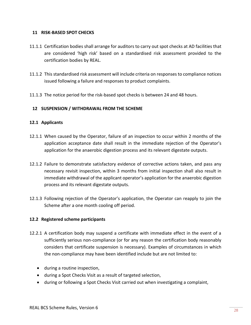#### <span id="page-27-0"></span>**11 RISK-BASED SPOT CHECKS**

- 11.1.1 Certification bodies shall arrange for auditors to carry out spot checks at AD facilities that are considered 'high risk' based on a standardised risk assessment provided to the certification bodies by REAL.
- 11.1.2 This standardised risk assessment will include criteria on responses to compliance notices issued following a failure and responses to product complaints.
- 11.1.3 The notice period for the risk-based spot checks is between 24 and 48 hours.

# <span id="page-27-1"></span>**12 SUSPENSION / WITHDRAWAL FROM THE SCHEME**

## <span id="page-27-2"></span>**12.1 Applicants**

- 12.1.1 When caused by the Operator, failure of an inspection to occur within 2 months of the application acceptance date shall result in the immediate rejection of the Operator's application for the anaerobic digestion process and its relevant digestate outputs.
- 12.1.2 Failure to demonstrate satisfactory evidence of corrective actions taken, and pass any necessary revisit inspection, within 3 months from initial inspection shall also result in immediate withdrawal of the applicant operator's application for the anaerobic digestion process and its relevant digestate outputs.
- 12.1.3 Following rejection of the Operator's application, the Operator can reapply to join the Scheme after a one month cooling off period.

#### <span id="page-27-3"></span>**12.2 Registered scheme participants**

- 12.2.1 A certification body may suspend a certificate with immediate effect in the event of a sufficiently serious non-compliance (or for any reason the certification body reasonably considers that certificate suspension is necessary). Examples of circumstances in which the non-compliance may have been identified include but are not limited to:
	- during a routine inspection,
	- during a Spot Checks Visit as a result of targeted selection,
	- during or following a Spot Checks Visit carried out when investigating a complaint,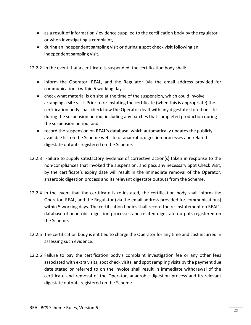- as a result of information / evidence supplied to the certification body by the regulator or when investigating a complaint,
- during an independent sampling visit or during a spot check visit following an independent sampling visit.

12.2.2 In the event that a certificate is suspended, the certification body shall:

- inform the Operator, REAL, and the Regulator (via the email address provided for communications) within 5 working days;
- check what material is on site at the time of the suspension, which could involve arranging a site visit. Prior to re-instating the certificate (when this is appropriate) the certification body shall check how the Operator dealt with any digestate stored on site during the suspension period, including any batches that completed production during the suspension period; and
- record the suspension on REAL's database, which automatically updates the publicly available list on the Scheme website of anaerobic digestion processes and related digestate outputs registered on the Scheme.
- 12.2.3 Failure to supply satisfactory evidence of corrective action(s) taken in response to the non-compliances that invoked the suspension, and pass any necessary Spot Check Visit, by the certificate's expiry date will result in the immediate removal of the Operator, anaerobic digestion process and its relevant digestate outputs from the Scheme.
- 12.2.4 In the event that the certificate is re-instated, the certification body shall inform the Operator, REAL, and the Regulator (via the email address provided for communications) within 5 working days. The certification bodies shall record the re-instatement on REAL's database of anaerobic digestion processes and related digestate outputs registered on the Scheme.
- 12.2.5 The certification body is entitled to charge the Operator for any time and cost incurred in assessing such evidence.
- 12.2.6 Failure to pay the certification body's complaint investigation fee or any other fees associated with extra visits, spot check visits, and spot sampling visits by the payment due date stated or referred to on the invoice shall result in immediate withdrawal of the certificate and removal of the Operator, anaerobic digestion process and its relevant digestate outputs registered on the Scheme.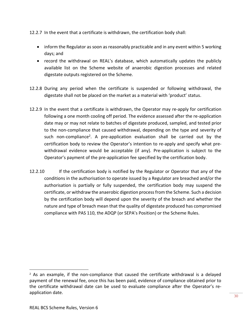- 12.2.7 In the event that a certificate is withdrawn, the certification body shall:
	- inform the Regulator as soon as reasonably practicable and in any event within 5 working days; and
	- record the withdrawal on REAL's database, which automatically updates the publicly available list on the Scheme website of anaerobic digestion processes and related digestate outputs registered on the Scheme.
- 12.2.8 During any period when the certificate is suspended or following withdrawal, the digestate shall not be placed on the market as a material with 'product' status.
- 12.2.9 In the event that a certificate is withdrawn, the Operator may re-apply for certification following a one month cooling off period. The evidence assessed after the re-application date may or may not relate to batches of digestate produced, sampled, and tested prior to the non-compliance that caused withdrawal, depending on the type and severity of such non-compliance<sup>2</sup>. A pre-application evaluation shall be carried out by the certification body to review the Operator's intention to re-apply and specify what prewithdrawal evidence would be acceptable (if any). Pre-application is subject to the Operator's payment of the pre-application fee specified by the certification body.
- 12.2.10 If the certification body is notified by the Regulator or Operator that any of the conditions in the authorisation to operate issued by a Regulator are breached and/or the authorisation is partially or fully suspended, the certification body may suspend the certificate, or withdraw the anaerobic digestion process from the Scheme. Such a decision by the certification body will depend upon the severity of the breach and whether the nature and type of breach mean that the quality of digestate produced has compromised compliance with PAS 110, the ADQP (or SEPA's Position) or the Scheme Rules.

 $2$  As an example, if the non-compliance that caused the certificate withdrawal is a delayed payment of the renewal fee, once this has been paid, evidence of compliance obtained prior to the certificate withdrawal date can be used to evaluate compliance after the Operator's reapplication date.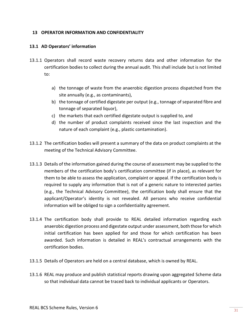## <span id="page-30-0"></span>**13 OPERATOR INFORMATION AND CONFIDENTIALITY**

## <span id="page-30-1"></span>**13.1 AD Operators' information**

- 13.1.1 Operators shall record waste recovery returns data and other information for the certification bodies to collect during the annual audit. This shall include but is not limited to:
	- a) the tonnage of waste from the anaerobic digestion process dispatched from the site annually (e.g., as contaminants),
	- b) the tonnage of certified digestate per output (e.g., tonnage of separated fibre and tonnage of separated liquor),
	- c) the markets that each certified digestate output is supplied to, and
	- d) the number of product complaints received since the last inspection and the nature of each complaint (e.g., plastic contamination).
- 13.1.2 The certification bodies will present a summary of the data on product complaints at the meeting of the Technical Advisory Committee.
- 13.1.3 Details of the information gained during the course of assessment may be supplied to the members of the certification body's certification committee (if in place), as relevant for them to be able to assess the application, complaint or appeal. If the certification body is required to supply any information that is not of a generic nature to interested parties (e.g., the Technical Advisory Committee), the certification body shall ensure that the applicant/Operator's identity is not revealed. All persons who receive confidential information will be obliged to sign a confidentiality agreement.
- 13.1.4 The certification body shall provide to REAL detailed information regarding each anaerobic digestion process and digestate output under assessment, both those for which initial certification has been applied for and those for which certification has been awarded. Such information is detailed in REAL's contractual arrangements with the certification bodies.
- 13.1.5 Details of Operators are held on a central database, which is owned by REAL.
- 13.1.6 REAL may produce and publish statistical reports drawing upon aggregated Scheme data so that individual data cannot be traced back to individual applicants or Operators.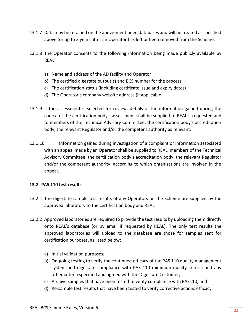- 13.1.7 Data may be retained on the above-mentioned databases and will be treated as specified above for up to 3 years after an Operator has left or been removed from the Scheme.
- 13.1.8 The Operator consents to the following information being made publicly available by REAL:
	- a) Name and address of the AD facility and Operator
	- b) The certified digestate output(s) and BCS number for the process
	- c) The certification status (including certificate issue and expiry dates)
	- d) The Operator's company website address (if applicable)
- 13.1.9 If the assessment is selected for review, details of the information gained during the course of the certification body's assessment shall be supplied to REAL if requested and to members of the Technical Advisory Committee, the certification body's accreditation body, the relevant Regulator and/or the competent authority as relevant.
- 13.1.10 Information gained during investigation of a complaint or information associated with an appeal made by an Operator shall be supplied to REAL, members of the Technical Advisory Committee, the certification body's accreditation body, the relevant Regulator and/or the competent authority, according to which organisations are involved in the appeal.

#### <span id="page-31-0"></span>**13.2 PAS 110 test results**

- 13.2.1 The digestate sample test results of any Operators on the Scheme are supplied by the approved laboratory to the certification body and REAL.
- 13.2.2 Approved laboratories are required to provide the test results by uploading them directly onto REAL's database (or by email if requested by REAL). The only test results the approved laboratories will upload to the database are those for samples sent for certification purposes, as listed below:
	- a) Initial validation purposes;
	- b) On-going testing to verify the continued efficacy of the PAS 110 quality management system and digestate compliance with PAS 110 minimum quality criteria and any other criteria specified and agreed with the Digestate Customer;
	- c) Archive samples that have been tested to verify compliance with PAS110; and
	- d) Re-sample test results that have been tested to verify corrective actions efficacy.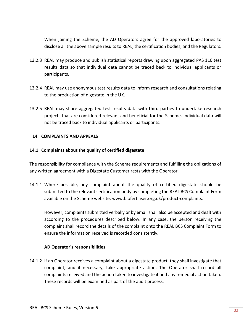When joining the Scheme, the AD Operators agree for the approved laboratories to disclose all the above sample results to REAL, the certification bodies, and the Regulators.

- 13.2.3 REAL may produce and publish statistical reports drawing upon aggregated PAS 110 test results data so that individual data cannot be traced back to individual applicants or participants.
- 13.2.4 REAL may use anonymous test results data to inform research and consultations relating to the production of digestate in the UK.
- 13.2.5 REAL may share aggregated test results data with third parties to undertake research projects that are considered relevant and beneficial for the Scheme. Individual data will not be traced back to individual applicants or participants.

## <span id="page-32-0"></span>**14 COMPLAINTS AND APPEALS**

## <span id="page-32-1"></span>**14.1 Complaints about the quality of certified digestate**

The responsibility for compliance with the Scheme requirements and fulfilling the obligations of any written agreement with a Digestate Customer rests with the Operator.

14.1.1 Where possible, any complaint about the quality of certified digestate should be submitted to the relevant certification body by completing the REAL BCS Complaint Form available on the Scheme website, [www.biofertiliser.org.uk/product-complaints.](http://www.biofertiliser.org.uk/product-complaints)

However, complaints submitted verbally or by email shall also be accepted and dealt with according to the procedures described below. In any case, the person receiving the complaint shall record the details of the complaint onto the REAL BCS Complaint Form to ensure the information received is recorded consistently.

#### **AD Operator's responsibilities**

14.1.2 If an Operator receives a complaint about a digestate product, they shall investigate that complaint, and if necessary, take appropriate action. The Operator shall record all complaints received and the action taken to investigate it and any remedial action taken. These records will be examined as part of the audit process.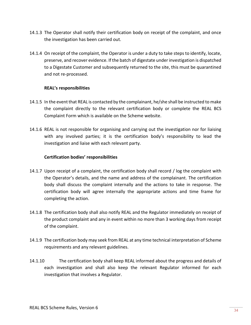- 14.1.3 The Operator shall notify their certification body on receipt of the complaint, and once the investigation has been carried out.
- 14.1.4 On receipt of the complaint, the Operator is under a duty to take steps to identify, locate, preserve, and recover evidence. If the batch of digestate under investigation is dispatched to a Digestate Customer and subsequently returned to the site, this must be quarantined and not re-processed.

## **REAL's responsibilities**

- 14.1.5 In the event that REAL is contacted by the complainant, he/she shall be instructed to make the complaint directly to the relevant certification body or complete the REAL BCS Complaint Form which is available on the Scheme website.
- 14.1.6 REAL is not responsible for organising and carrying out the investigation nor for liaising with any involved parties; it is the certification body's responsibility to lead the investigation and liaise with each relevant party.

#### **Certification bodies' responsibilities**

- 14.1.7 Upon receipt of a complaint, the certification body shall record / log the complaint with the Operator's details, and the name and address of the complainant. The certification body shall discuss the complaint internally and the actions to take in response. The certification body will agree internally the appropriate actions and time frame for completing the action.
- 14.1.8 The certification body shall also notify REAL and the Regulator immediately on receipt of the product complaint and any in event within no more than 3 working days from receipt of the complaint.
- 14.1.9 The certification body may seek from REAL at any time technical interpretation of Scheme requirements and any relevant guidelines.
- 14.1.10 The certification body shall keep REAL informed about the progress and details of each investigation and shall also keep the relevant Regulator informed for each investigation that involves a Regulator.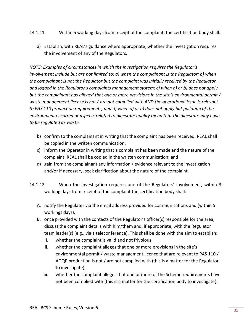- 14.1.11 Within 5 working days from receipt of the complaint, the certification body shall:
	- a) Establish, with REAL's guidance where appropriate, whether the investigation requires the involvement of any of the Regulators.

*NOTE: Examples of circumstances in which the investigation requires the Regulator's involvement include but are not limited to: a) when the complainant is the Regulator; b) when the complainant is not the Regulator but the complaint was initially received by the Regulator and logged in the Regulator's complaints management system; c) when a) or b) does not apply but the complainant has alleged that one or more provisions in the site's environmental permit / waste management license is not / are not complied with AND the operational issue is relevant to PAS 110 production requirements; and d) when a) or b) does not apply but pollution of the environment occurred or aspects related to digestate quality mean that the digestate may have to be regulated as waste.*

- b) confirm to the complainant in writing that the complaint has been received. REAL shall be copied in the written communication;
- c) inform the Operator in writing that a complaint has been made and the nature of the complaint. REAL shall be copied in the written communication; and
- d) gain from the complainant any information / evidence relevant to the investigation and/or if necessary, seek clarification about the nature of the complaint.
- 14.1.12 When the investigation requires one of the Regulators' involvement, within 3 working days from receipt of the complaint the certification body shall:
	- A. notify the Regulator via the email address provided for communications and (within 5 workings days),
	- B. once provided with the contacts of the Regulator's officer(s) responsible for the area, discuss the complaint details with him/them and, if appropriate, with the Regulator team leader(s) (e.g., via a teleconference). This shall be done with the aim to establish:
		- i. whether the complaint is valid and not frivolous;
		- ii. whether the complaint alleges that one or more provisions in the site's environmental permit / waste management licence that are relevant to PAS 110 / ADQP production is not / are not complied with (this is a matter for the Regulator to investigate);
		- iii. whether the complaint alleges that one or more of the Scheme requirements have not been complied with (this is a matter for the certification body to investigate);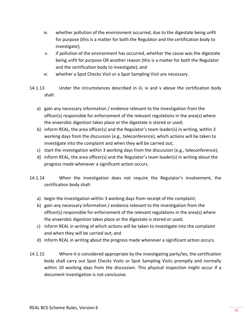- iv. whether pollution of the environment occurred, due to the digestate being unfit for purpose (this is a matter for both the Regulator and the certification body to investigate);
- v. if pollution of the environment has occurred, whether the cause was the digestate being unfit for purpose OR another reason (this is a matter for both the Regulator and the certification body to investigate); and
- vi. whether a Spot Checks Visit or a Spot Sampling Visit are necessary.
- 14.1.13 Under the circumstances described in iii, iv and v above the certification body shall:
	- a) gain any necessary information / evidence relevant to the investigation from the officer(s) responsible for enforcement of the relevant regulations in the area(s) where the anaerobic digestion takes place or the digestate is stored or used;
	- b) inform REAL, the area officer(s) and the Regulator's team leader(s) in writing, within 3 working days from the discussion (e.g., teleconference), which actions will be taken to investigate into the complaint and when they will be carried out;
	- c) start the investigation within 3 working days from the discussion (e.g., teleconference);
	- d) inform REAL, the area officer(s) and the Regulator's team leader(s) in writing about the progress made whenever a significant action occurs.
- 14.1.14 When the investigation does not require the Regulator's involvement, the certification body shall:
	- a) begin the investigation within 3 working days from receipt of the complaint;
	- b) gain any necessary information / evidence relevant to the investigation from the officer(s) responsible for enforcement of the relevant regulations in the area(s) where the anaerobic digestion takes place or the digestate is stored or used;
	- c) inform REAL in writing of which actions will be taken to investigate into the complaint and when they will be carried out; and
	- d) inform REAL in writing about the progress made whenever a significant action occurs.
- 14.1.15 Where it is considered appropriate by the investigating party/ies, the certification body shall carry out Spot Checks Visits or Spot Sampling Visits promptly and normally within 10 working days from the discussion. This physical inspection might occur if a document investigation is not conclusive.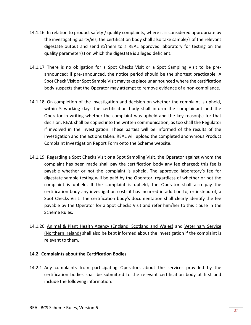- 14.1.16 In relation to product safety / quality complaints, where it is considered appropriate by the investigating party/ies, the certification body shall also take sample/s of the relevant digestate output and send it/them to a REAL approved laboratory for testing on the quality parameter(s) on which the digestate is alleged deficient.
- 14.1.17 There is no obligation for a Spot Checks Visit or a Spot Sampling Visit to be preannounced; if pre-announced, the notice period should be the shortest practicable. A Spot Check Visit or Spot Sample Visit may take place unannounced where the certification body suspects that the Operator may attempt to remove evidence of a non-compliance.
- 14.1.18 On completion of the investigation and decision on whether the complaint is upheld, within 5 working days the certification body shall inform the complainant and the Operator in writing whether the complaint was upheld and the key reason(s) for that decision. REAL shall be copied into the written communication, as too shall the Regulator if involved in the investigation. These parties will be informed of the results of the investigation and the actions taken. REAL will upload the completed anonymous Product Complaint Investigation Report Form onto the Scheme website.
- 14.1.19 Regarding a Spot Checks Visit or a Spot Sampling Visit, the Operator against whom the complaint has been made shall pay the certification body any fee charged; this fee is payable whether or not the complaint is upheld. The approved laboratory's fee for digestate sample testing will be paid by the Operator, regardless of whether or not the complaint is upheld. If the complaint is upheld, the Operator shall also pay the certification body any investigation costs it has incurred in addition to, or instead of, a Spot Checks Visit. The certification body's documentation shall clearly identify the fee payable by the Operator for a Spot Checks Visit and refer him/her to this clause in the Scheme Rules.
- 14.1.20 Animal & Plant Health Agency [\(England, Scotland and Wales\)](http://animalhealth.defra.gov.uk/about/contact-us/postcode.asp) and [Veterinary Service](http://animalhealth.defra.gov.uk/about/contact-us/postcode.asp)  [\(Northern Ireland\)](http://animalhealth.defra.gov.uk/about/contact-us/postcode.asp) shall also be kept informed about the investigation if the complaint is relevant to them.

#### <span id="page-36-0"></span>**14.2 Complaints about the Certification Bodies**

14.2.1 Any complaints from participating Operators about the services provided by the certification bodies shall be submitted to the relevant certification body at first and include the following information: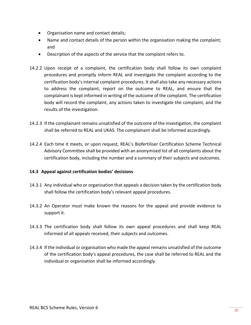- Organisation name and contact details;
- Name and contact details of the person within the organisation making the complaint; and
- Description of the aspects of the service that the complaint refers to.
- 14.2.2 Upon receipt of a complaint, the certification body shall follow its own complaint procedures and promptly inform REAL and investigate the complaint according to the certification body's internal complaint procedures. It shall also take any necessary actions to address the complaint, report on the outcome to REAL, and ensure that the complainant is kept informed in writing of the outcome of the complaint. The certification body will record the complaint, any actions taken to investigate the complaint, and the results of the investigation.
- 14.2.3 If the complainant remains unsatisfied of the outcome of the investigation, the complaint shall be referred to REAL and UKAS. The complainant shall be informed accordingly.
- 14.2.4 Each time it meets, or upon request, REAL's Biofertiliser Certification Scheme Technical Advisory Committee shall be provided with an anonymised list of all complaints about the certification body, including the number and a summary of their subjects and outcomes.

# <span id="page-37-0"></span>**14.3 Appeal against certification bodies' decisions**

- 14.3.1 Any individual who or organisation that appeals a decision taken by the certification body shall follow the certification body's relevant appeal procedures.
- 14.3.2 An Operator must make known the reasons for the appeal and provide evidence to support it.
- 14.3.3 The certification body shall follow its own appeal procedures and shall keep REAL informed of all appeals received, their subjects and outcomes.
- 14.3.4 If the individual or organisation who made the appeal remains unsatisfied of the outcome of the certification body's appeal procedures, the case shall be referred to REAL and the individual or organisation shall be informed accordingly.